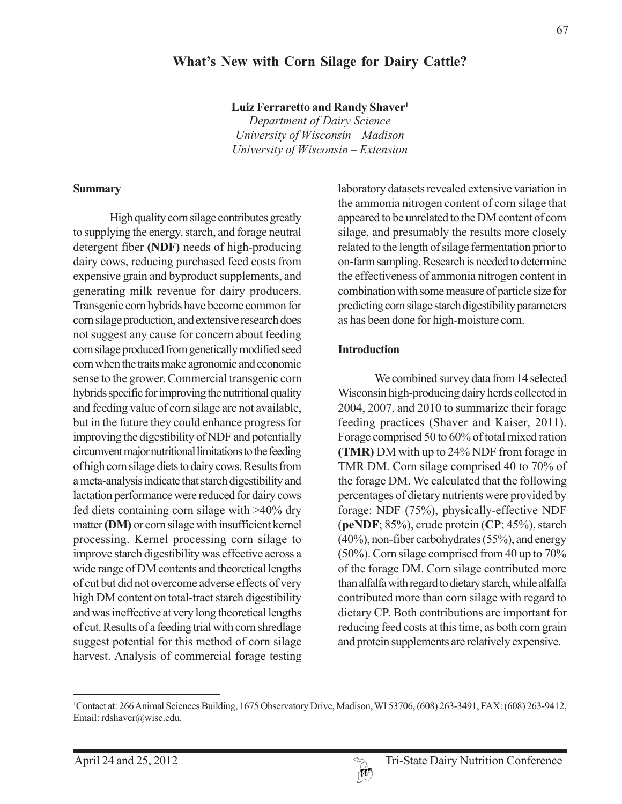#### **What's New with Corn Silage for Dairy Cattle?**

**Luiz Ferraretto and Randy Shaver1**

*Department of Dairy Science University of Wisconsin – Madison University of Wisconsin – Extension*

#### **Summary**

High quality corn silage contributes greatly to supplying the energy, starch, and forage neutral detergent fiber **(NDF)** needs of high-producing dairy cows, reducing purchased feed costs from expensive grain and byproduct supplements, and generating milk revenue for dairy producers. Transgenic corn hybrids have become common for corn silage production, and extensive research does not suggest any cause for concern about feeding corn silage produced from genetically modified seed corn when the traits make agronomic and economic sense to the grower. Commercial transgenic corn hybrids specific for improving the nutritional quality and feeding value of corn silage are not available, but in the future they could enhance progress for improving the digestibility of NDF and potentially circumvent major nutritional limitations to the feeding of high corn silage diets to dairy cows. Results from a meta-analysis indicate that starch digestibility and lactation performance were reduced for dairy cows fed diets containing corn silage with >40% dry matter **(DM)** or corn silage with insufficient kernel processing. Kernel processing corn silage to improve starch digestibility was effective across a wide range of DM contents and theoretical lengths of cut but did not overcome adverse effects of very high DM content on total-tract starch digestibility and was ineffective at very long theoretical lengths of cut. Results of a feeding trial with corn shredlage suggest potential for this method of corn silage harvest. Analysis of commercial forage testing laboratory datasets revealed extensive variation in the ammonia nitrogen content of corn silage that appeared to be unrelated to the DM content of corn silage, and presumably the results more closely related to the length of silage fermentation prior to on-farm sampling. Research is needed to determine the effectiveness of ammonia nitrogen content in combination with some measure of particle size for predicting corn silage starch digestibility parameters as has been done for high-moisture corn.

#### **Introduction**

We combined survey data from 14 selected Wisconsin high-producing dairy herds collected in 2004, 2007, and 2010 to summarize their forage feeding practices (Shaver and Kaiser, 2011). Forage comprised 50 to 60% of total mixed ration **(TMR)** DM with up to 24% NDF from forage in TMR DM. Corn silage comprised 40 to 70% of the forage DM. We calculated that the following percentages of dietary nutrients were provided by forage: NDF (75%), physically-effective NDF (**peNDF**; 85%), crude protein (**CP**; 45%), starch (40%), non-fiber carbohydrates (55%), and energy (50%). Corn silage comprised from 40 up to 70% of the forage DM. Corn silage contributed more than alfalfa with regard to dietary starch, while alfalfa contributed more than corn silage with regard to dietary CP. Both contributions are important for reducing feed costs at this time, as both corn grain and protein supplements are relatively expensive.



<sup>1</sup> Contact at: 266 Animal Sciences Building, 1675 Observatory Drive, Madison, WI 53706, (608) 263-3491, FAX: (608) 263-9412, Email: rdshaver@wisc.edu.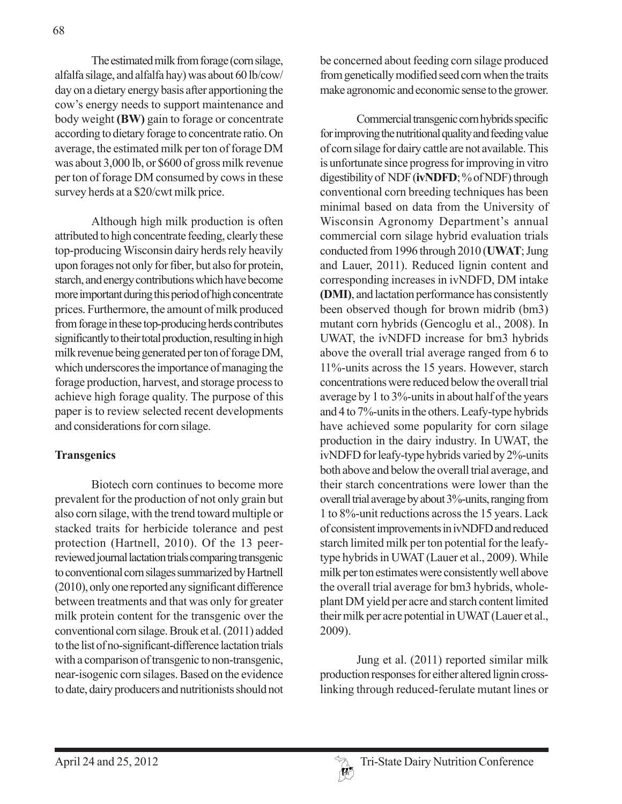The estimated milk from forage (corn silage, alfalfa silage, and alfalfa hay) was about 60 lb/cow/ day on a dietary energy basis after apportioning the cow's energy needs to support maintenance and body weight **(BW)** gain to forage or concentrate according to dietary forage to concentrate ratio. On average, the estimated milk per ton of forage DM was about 3,000 lb, or \$600 of gross milk revenue per ton of forage DM consumed by cows in these survey herds at a \$20/cwt milk price.

Although high milk production is often attributed to high concentrate feeding, clearly these top-producing Wisconsin dairy herds rely heavily upon forages not only for fiber, but also for protein, starch, and energy contributions which have become more important during this period of high concentrate prices. Furthermore, the amount of milk produced from forage in these top-producing herds contributes significantly to their total production, resulting in high milk revenue being generated per ton of forage DM, which underscores the importance of managing the forage production, harvest, and storage process to achieve high forage quality. The purpose of this paper is to review selected recent developments and considerations for corn silage.

#### **Transgenics**

Biotech corn continues to become more prevalent for the production of not only grain but also corn silage, with the trend toward multiple or stacked traits for herbicide tolerance and pest protection (Hartnell, 2010). Of the 13 peerreviewed journal lactation trials comparing transgenic to conventional corn silages summarized by Hartnell (2010), only one reported any significant difference between treatments and that was only for greater milk protein content for the transgenic over the conventional corn silage. Brouk et al. (2011) added to the list of no-significant-difference lactation trials with a comparison of transgenic to non-transgenic, near-isogenic corn silages. Based on the evidence to date, dairy producers and nutritionists should not be concerned about feeding corn silage produced from genetically modified seed corn when the traits make agronomic and economic sense to the grower.

Commercial transgenic corn hybrids specific for improving the nutritional quality and feeding value of corn silage for dairy cattle are not available. This is unfortunate since progress for improving in vitro digestibility of NDF (**ivNDFD**; % of NDF) through conventional corn breeding techniques has been minimal based on data from the University of Wisconsin Agronomy Department's annual commercial corn silage hybrid evaluation trials conducted from 1996 through 2010 (**UWAT**; Jung and Lauer, 2011). Reduced lignin content and corresponding increases in ivNDFD, DM intake **(DMI)**, and lactation performance has consistently been observed though for brown midrib (bm3) mutant corn hybrids (Gencoglu et al., 2008). In UWAT, the ivNDFD increase for bm3 hybrids above the overall trial average ranged from 6 to 11%-units across the 15 years. However, starch concentrations were reduced below the overall trial average by 1 to 3%-units in about half of the years and 4 to 7%-units in the others. Leafy-type hybrids have achieved some popularity for corn silage production in the dairy industry. In UWAT, the ivNDFD for leafy-type hybrids varied by 2%-units both above and below the overall trial average, and their starch concentrations were lower than the overall trial average by about 3%-units, ranging from 1 to 8%-unit reductions across the 15 years. Lack of consistent improvements in ivNDFD and reduced starch limited milk per ton potential for the leafytype hybrids in UWAT (Lauer et al., 2009). While milk per ton estimates were consistently well above the overall trial average for bm3 hybrids, wholeplant DM yield per acre and starch content limited their milk per acre potential in UWAT (Lauer et al., 2009).

Jung et al. (2011) reported similar milk production responses for either altered lignin crosslinking through reduced-ferulate mutant lines or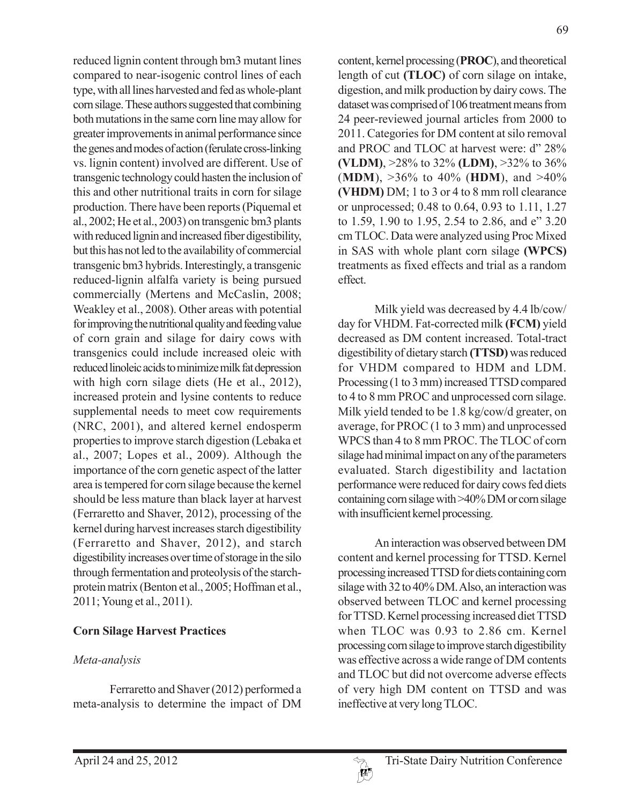reduced lignin content through bm3 mutant lines compared to near-isogenic control lines of each type, with all lines harvested and fed as whole-plant corn silage. These authors suggested that combining both mutations in the same corn line may allow for greater improvements in animal performance since the genes and modes of action (ferulate cross-linking vs. lignin content) involved are different. Use of transgenic technology could hasten the inclusion of this and other nutritional traits in corn for silage production. There have been reports (Piquemal et al., 2002; He et al., 2003) on transgenic bm3 plants with reduced lignin and increased fiber digestibility, but this has not led to the availability of commercial transgenic bm3 hybrids. Interestingly, a transgenic reduced-lignin alfalfa variety is being pursued commercially (Mertens and McCaslin, 2008; Weakley et al., 2008). Other areas with potential for improving the nutritional quality and feeding value of corn grain and silage for dairy cows with transgenics could include increased oleic with reduced linoleic acids to minimize milk fat depression with high corn silage diets (He et al., 2012), increased protein and lysine contents to reduce supplemental needs to meet cow requirements (NRC, 2001), and altered kernel endosperm properties to improve starch digestion (Lebaka et al., 2007; Lopes et al., 2009). Although the importance of the corn genetic aspect of the latter area is tempered for corn silage because the kernel should be less mature than black layer at harvest (Ferraretto and Shaver, 2012), processing of the kernel during harvest increases starch digestibility (Ferraretto and Shaver, 2012), and starch digestibility increases over time of storage in the silo through fermentation and proteolysis of the starchprotein matrix (Benton et al., 2005; Hoffman et al., 2011; Young et al., 2011).

# **Corn Silage Harvest Practices**

# *Meta-analysis*

Ferraretto and Shaver (2012) performed a meta-analysis to determine the impact of DM

content, kernel processing (**PROC**), and theoretical length of cut **(TLOC)** of corn silage on intake, digestion, and milk production by dairy cows. The dataset was comprised of 106 treatment means from 24 peer-reviewed journal articles from 2000 to 2011. Categories for DM content at silo removal and PROC and TLOC at harvest were: d" 28% **(VLDM)**, >28% to 32% **(LDM)**, >32% to 36% (**MDM**), >36% to 40% (**HDM**), and >40% **(VHDM)** DM; 1 to 3 or 4 to 8 mm roll clearance or unprocessed; 0.48 to 0.64, 0.93 to 1.11, 1.27 to 1.59, 1.90 to 1.95, 2.54 to 2.86, and e" 3.20 cm TLOC. Data were analyzed using Proc Mixed in SAS with whole plant corn silage **(WPCS)** treatments as fixed effects and trial as a random effect.

Milk yield was decreased by 4.4 lb/cow/ day for VHDM. Fat-corrected milk **(FCM)** yield decreased as DM content increased. Total-tract digestibility of dietary starch **(TTSD)** was reduced for VHDM compared to HDM and LDM. Processing (1 to 3 mm) increased TTSD compared to 4 to 8 mm PROC and unprocessed corn silage. Milk yield tended to be 1.8 kg/cow/d greater, on average, for PROC (1 to 3 mm) and unprocessed WPCS than 4 to 8 mm PROC. The TLOC of corn silage had minimal impact on any of the parameters evaluated. Starch digestibility and lactation performance were reduced for dairy cows fed diets containing corn silage with >40% DM or corn silage with insufficient kernel processing.

An interaction was observed between DM content and kernel processing for TTSD. Kernel processing increased TTSD for diets containing corn silage with 32 to 40% DM. Also, an interaction was observed between TLOC and kernel processing for TTSD. Kernel processing increased diet TTSD when TLOC was 0.93 to 2.86 cm. Kernel processing corn silage to improve starch digestibility was effective across a wide range of DM contents and TLOC but did not overcome adverse effects of very high DM content on TTSD and was ineffective at very long TLOC.

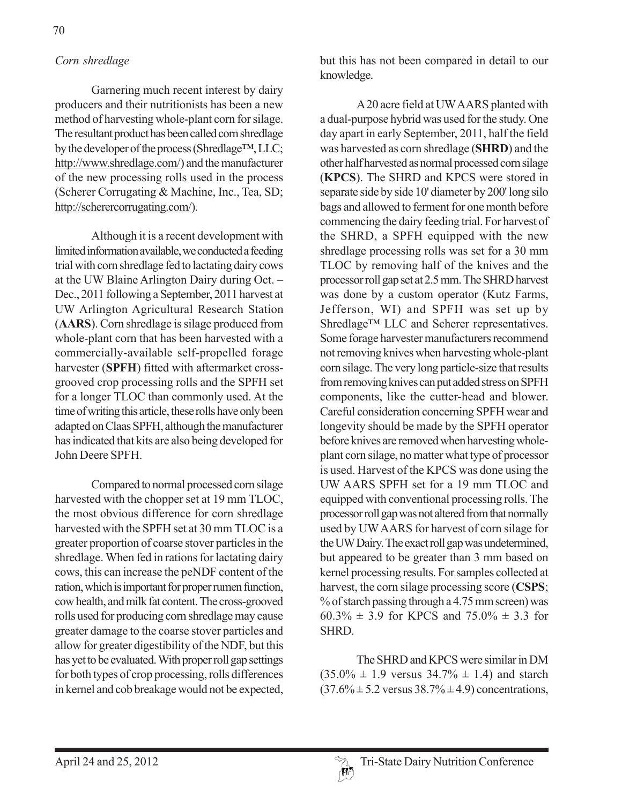# *Corn shredlage*

Garnering much recent interest by dairy producers and their nutritionists has been a new method of harvesting whole-plant corn for silage. The resultant product has been called corn shredlage by the developer of the process (Shredlage™, LLC; http://www.shredlage.com/) and the manufacturer of the new processing rolls used in the process (Scherer Corrugating & Machine, Inc., Tea, SD; http://scherercorrugating.com/).

Although it is a recent development with limited information available, we conducted a feeding trial with corn shredlage fed to lactating dairy cows at the UW Blaine Arlington Dairy during Oct. – Dec., 2011 following a September, 2011 harvest at UW Arlington Agricultural Research Station (**AARS**). Corn shredlage is silage produced from whole-plant corn that has been harvested with a commercially-available self-propelled forage harvester (**SPFH**) fitted with aftermarket crossgrooved crop processing rolls and the SPFH set for a longer TLOC than commonly used. At the time of writing this article, these rolls have only been adapted on Claas SPFH, although the manufacturer has indicated that kits are also being developed for John Deere SPFH.

Compared to normal processed corn silage harvested with the chopper set at 19 mm TLOC, the most obvious difference for corn shredlage harvested with the SPFH set at 30 mm TLOC is a greater proportion of coarse stover particles in the shredlage. When fed in rations for lactating dairy cows, this can increase the peNDF content of the ration, which is important for proper rumen function, cow health, and milk fat content. The cross-grooved rolls used for producing corn shredlage may cause greater damage to the coarse stover particles and allow for greater digestibility of the NDF, but this has yet to be evaluated. With proper roll gap settings for both types of crop processing, rolls differences in kernel and cob breakage would not be expected,

but this has not been compared in detail to our knowledge.

A 20 acre field at UW AARS planted with a dual-purpose hybrid was used for the study. One day apart in early September, 2011, half the field was harvested as corn shredlage (**SHRD**) and the other half harvested as normal processed corn silage (**KPCS**). The SHRD and KPCS were stored in separate side by side 10' diameter by 200' long silo bags and allowed to ferment for one month before commencing the dairy feeding trial. For harvest of the SHRD, a SPFH equipped with the new shredlage processing rolls was set for a 30 mm TLOC by removing half of the knives and the processor roll gap set at 2.5 mm. The SHRD harvest was done by a custom operator (Kutz Farms, Jefferson, WI) and SPFH was set up by Shredlage™ LLC and Scherer representatives. Some forage harvester manufacturers recommend not removing knives when harvesting whole-plant corn silage. The very long particle-size that results from removing knives can put added stress on SPFH components, like the cutter-head and blower. Careful consideration concerning SPFH wear and longevity should be made by the SPFH operator before knives are removed when harvesting wholeplant corn silage, no matter what type of processor is used. Harvest of the KPCS was done using the UW AARS SPFH set for a 19 mm TLOC and equipped with conventional processing rolls. The processor roll gap was not altered from that normally used by UW AARS for harvest of corn silage for the UW Dairy. The exact roll gap was undetermined, but appeared to be greater than 3 mm based on kernel processing results. For samples collected at harvest, the corn silage processing score (**CSPS**; % of starch passing through a 4.75 mm screen) was  $60.3\% \pm 3.9$  for KPCS and  $75.0\% \pm 3.3$  for SHRD.

The SHRD and KPCS were similar in DM  $(35.0\% \pm 1.9 \text{ versus } 34.7\% \pm 1.4)$  and starch  $(37.6\% \pm 5.2 \text{ versus } 38.7\% \pm 4.9)$  concentrations,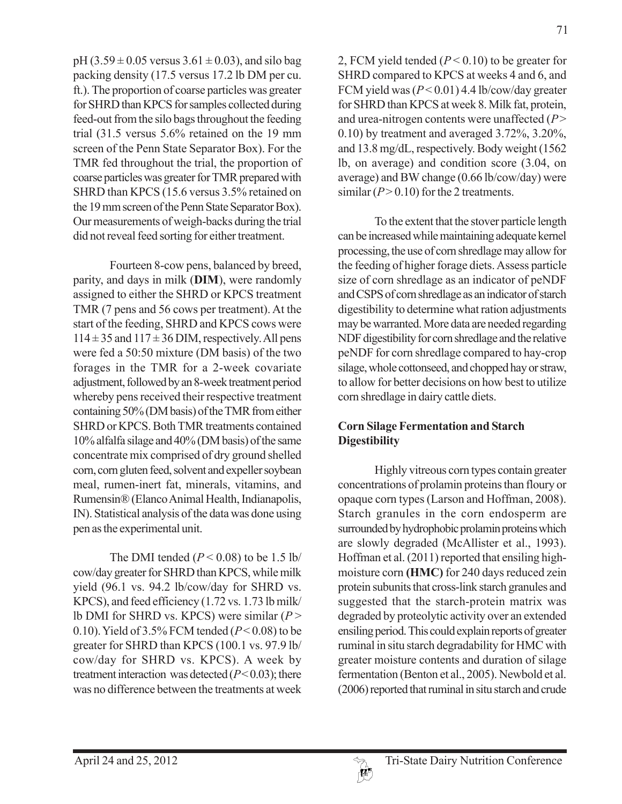$pH (3.59 \pm 0.05 \text{ versus } 3.61 \pm 0.03)$ , and silo bag packing density (17.5 versus 17.2 lb DM per cu. ft.). The proportion of coarse particles was greater for SHRD than KPCS for samples collected during feed-out from the silo bags throughout the feeding trial (31.5 versus 5.6% retained on the 19 mm screen of the Penn State Separator Box). For the TMR fed throughout the trial, the proportion of coarse particles was greater for TMR prepared with SHRD than KPCS (15.6 versus 3.5% retained on the 19 mm screen of the Penn State Separator Box). Our measurements of weigh-backs during the trial did not reveal feed sorting for either treatment.

Fourteen 8-cow pens, balanced by breed, parity, and days in milk (**DIM**), were randomly assigned to either the SHRD or KPCS treatment TMR (7 pens and 56 cows per treatment). At the start of the feeding, SHRD and KPCS cows were  $114 \pm 35$  and  $117 \pm 36$  DIM, respectively. All pens were fed a 50:50 mixture (DM basis) of the two forages in the TMR for a 2-week covariate adjustment, followed by an 8-week treatment period whereby pens received their respective treatment containing 50% (DM basis) of the TMR from either SHRD or KPCS. Both TMR treatments contained 10% alfalfa silage and 40% (DM basis) of the same concentrate mix comprised of dry ground shelled corn, corn gluten feed, solvent and expeller soybean meal, rumen-inert fat, minerals, vitamins, and Rumensin® (Elanco Animal Health, Indianapolis, IN). Statistical analysis of the data was done using pen as the experimental unit.

The DMI tended  $(P < 0.08)$  to be 1.5 lb/ cow/day greater for SHRD than KPCS, while milk yield (96.1 vs. 94.2 lb/cow/day for SHRD vs. KPCS), and feed efficiency (1.72 vs. 1.73 lb milk/ lb DMI for SHRD vs. KPCS) were similar (*P* > 0.10). Yield of  $3.5\%$  FCM tended ( $P < 0.08$ ) to be greater for SHRD than KPCS (100.1 vs. 97.9 lb/ cow/day for SHRD vs. KPCS). A week by treatment interaction was detected  $(P< 0.03)$ ; there was no difference between the treatments at week

2, FCM yield tended (*P* < 0.10) to be greater for SHRD compared to KPCS at weeks 4 and 6, and FCM yield was (*P* < 0.01) 4.4 lb/cow/day greater for SHRD than KPCS at week 8. Milk fat, protein, and urea-nitrogen contents were unaffected (*P* > 0.10) by treatment and averaged 3.72%, 3.20%, and 13.8 mg/dL, respectively. Body weight (1562 lb, on average) and condition score (3.04, on average) and BW change (0.66 lb/cow/day) were similar  $(P > 0.10)$  for the 2 treatments.

To the extent that the stover particle length can be increased while maintaining adequate kernel processing, the use of corn shredlage may allow for the feeding of higher forage diets. Assess particle size of corn shredlage as an indicator of peNDF and CSPS of corn shredlage as an indicator of starch digestibility to determine what ration adjustments may be warranted. More data are needed regarding NDF digestibility for corn shredlage and the relative peNDF for corn shredlage compared to hay-crop silage, whole cottonseed, and chopped hay or straw, to allow for better decisions on how best to utilize corn shredlage in dairy cattle diets.

# **Corn Silage Fermentation and Starch Digestibility**

Highly vitreous corn types contain greater concentrations of prolamin proteins than floury or opaque corn types (Larson and Hoffman, 2008). Starch granules in the corn endosperm are surrounded by hydrophobic prolamin proteins which are slowly degraded (McAllister et al., 1993). Hoffman et al. (2011) reported that ensiling highmoisture corn **(HMC)** for 240 days reduced zein protein subunits that cross-link starch granules and suggested that the starch-protein matrix was degraded by proteolytic activity over an extended ensiling period. This could explain reports of greater ruminal in situ starch degradability for HMC with greater moisture contents and duration of silage fermentation (Benton et al., 2005). Newbold et al. (2006) reported that ruminal in situ starch and crude

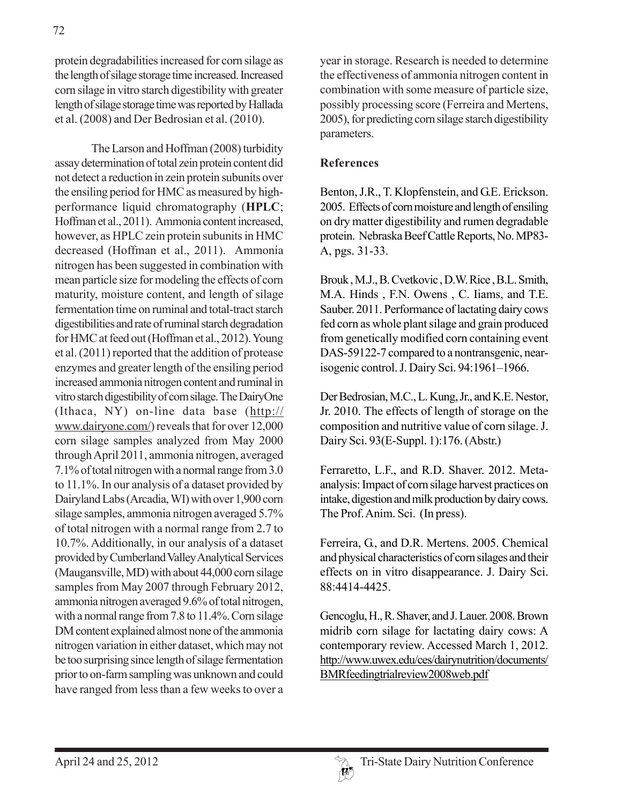protein degradabilities increased for corn silage as the length of silage storage time increased. Increased corn silage in vitro starch digestibility with greater length of silage storage time was reported by Hallada et al. (2008) and Der Bedrosian et al. (2010).

The Larson and Hoffman (2008) turbidity assay determination of total zein protein content did not detect a reduction in zein protein subunits over the ensiling period for HMC as measured by highperformance liquid chromatography (**HPLC**; Hoffman et al., 2011). Ammonia content increased, however, as HPLC zein protein subunits in HMC decreased (Hoffman et al., 2011). Ammonia nitrogen has been suggested in combination with mean particle size for modeling the effects of corn maturity, moisture content, and length of silage fermentation time on ruminal and total-tract starch digestibilities and rate of ruminal starch degradation for HMC at feed out (Hoffman et al., 2012). Young et al. (2011) reported that the addition of protease enzymes and greater length of the ensiling period increased ammonia nitrogen content and ruminal in vitro starch digestibility of corn silage. The DairyOne (Ithaca, NY) on-line data base (http:// www.dairyone.com/) reveals that for over 12,000 corn silage samples analyzed from May 2000 through April 2011, ammonia nitrogen, averaged 7.1% of total nitrogen with a normal range from 3.0 to 11.1%. In our analysis of a dataset provided by Dairyland Labs (Arcadia, WI) with over 1,900 corn silage samples, ammonia nitrogen averaged 5.7% of total nitrogen with a normal range from 2.7 to 10.7%. Additionally, in our analysis of a dataset provided by Cumberland Valley Analytical Services (Maugansville, MD) with about 44,000 corn silage samples from May 2007 through February 2012, ammonia nitrogen averaged 9.6% of total nitrogen, with a normal range from 7.8 to 11.4%. Corn silage DM content explained almost none of the ammonia nitrogen variation in either dataset, which may not be too surprising since length of silage fermentation prior to on-farm sampling was unknown and could have ranged from less than a few weeks to over a year in storage. Research is needed to determine the effectiveness of ammonia nitrogen content in combination with some measure of particle size, possibly processing score (Ferreira and Mertens, 2005), for predicting corn silage starch digestibility parameters.

### **References**

Benton, J.R., T. Klopfenstein, and G.E. Erickson. 2005. Effects of corn moisture and length of ensiling on dry matter digestibility and rumen degradable protein. Nebraska Beef Cattle Reports, No. MP83- A, pgs. 31-33.

Brouk , M.J., B. Cvetkovic , D.W. Rice , B.L. Smith, M.A. Hinds , F.N. Owens , C. Iiams, and T.E. Sauber. 2011. Performance of lactating dairy cows fed corn as whole plant silage and grain produced from genetically modified corn containing event DAS-59122-7 compared to a nontransgenic, nearisogenic control. J. Dairy Sci. 94:1961–1966.

Der Bedrosian, M.C., L. Kung, Jr., and K.E. Nestor, Jr. 2010. The effects of length of storage on the composition and nutritive value of corn silage. J. Dairy Sci. 93(E-Suppl. 1):176. (Abstr.)

Ferraretto, L.F., and R.D. Shaver. 2012. Metaanalysis: Impact of corn silage harvest practices on intake, digestion and milk production by dairy cows. The Prof. Anim. Sci. (In press).

Ferreira, G., and D.R. Mertens. 2005. Chemical and physical characteristics of corn silages and their effects on in vitro disappearance. J. Dairy Sci. 88:4414-4425.

Gencoglu, H., R. Shaver, and J. Lauer. 2008. Brown midrib corn silage for lactating dairy cows: A contemporary review. Accessed March 1, 2012. http://www.uwex.edu/ces/dairynutrition/documents/ BMRfeedingtrialreview2008web.pdf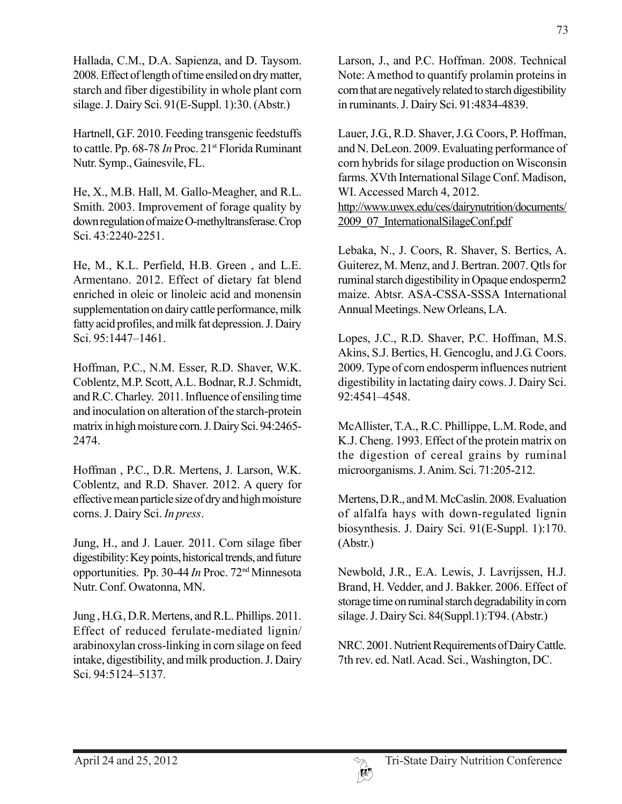Hallada, C.M., D.A. Sapienza, and D. Taysom. 2008. Effect of length of time ensiled on dry matter, starch and fiber digestibility in whole plant corn silage. J. Dairy Sci. 91(E-Suppl. 1):30. (Abstr.)

Hartnell, G.F. 2010. Feeding transgenic feedstuffs to cattle. Pp. 68-78 *In* Proc. 21<sup>st</sup> Florida Ruminant Nutr. Symp., Gainesvile, FL.

He, X., M.B. Hall, M. Gallo-Meagher, and R.L. Smith. 2003. Improvement of forage quality by down regulation of maize O-methyltransferase. Crop Sci. 43:2240-2251.

He, M., K.L. Perfield, H.B. Green , and L.E. Armentano. 2012. Effect of dietary fat blend enriched in oleic or linoleic acid and monensin supplementation on dairy cattle performance, milk fatty acid profiles, and milk fat depression. J. Dairy Sci. 95:1447–1461.

Hoffman, P.C., N.M. Esser, R.D. Shaver, W.K. Coblentz, M.P. Scott, A.L. Bodnar, R.J. Schmidt, and R.C. Charley. 2011. Influence of ensiling time and inoculation on alteration of the starch-protein matrix in high moisture corn. J. Dairy Sci. 94:2465- 2474.

Hoffman , P.C., D.R. Mertens, J. Larson, W.K. Coblentz, and R.D. Shaver. 2012. A query for effective mean particle size of dry and high moisture corns. J. Dairy Sci. *In press*.

Jung, H., and J. Lauer. 2011. Corn silage fiber digestibility: Key points, historical trends, and future opportunities. Pp. 30-44 *In* Proc. 72nd Minnesota Nutr. Conf. Owatonna, MN.

Jung , H.G., D.R. Mertens, and R.L. Phillips. 2011. Effect of reduced ferulate-mediated lignin/ arabinoxylan cross-linking in corn silage on feed intake, digestibility, and milk production. J. Dairy Sci. 94:5124–5137.

Larson, J., and P.C. Hoffman. 2008. Technical Note: A method to quantify prolamin proteins in corn that are negatively related to starch digestibility in ruminants. J. Dairy Sci. 91:4834-4839.

Lauer, J.G., R.D. Shaver, J.G. Coors, P. Hoffman, and N. DeLeon. 2009. Evaluating performance of corn hybrids for silage production on Wisconsin farms. XVth International Silage Conf. Madison, WI. Accessed March 4, 2012. http://www.uwex.edu/ces/dairynutrition/documents/ 2009\_07\_InternationalSilageConf.pdf

Lebaka, N., J. Coors, R. Shaver, S. Bertics, A. Guiterez, M. Menz, and J. Bertran. 2007. Qtls for ruminal starch digestibility in Opaque endosperm2 maize. Abtsr. ASA-CSSA-SSSA International Annual Meetings. New Orleans, LA.

Lopes, J.C., R.D. Shaver, P.C. Hoffman, M.S. Akins, S.J. Bertics, H. Gencoglu, and J.G. Coors. 2009. Type of corn endosperm influences nutrient digestibility in lactating dairy cows. J. Dairy Sci. 92:4541–4548.

McAllister, T.A., R.C. Phillippe, L.M. Rode, and K.J. Cheng. 1993. Effect of the protein matrix on the digestion of cereal grains by ruminal microorganisms. J. Anim. Sci. 71:205-212.

Mertens, D.R., and M. McCaslin. 2008. Evaluation of alfalfa hays with down-regulated lignin biosynthesis. J. Dairy Sci. 91(E-Suppl. 1):170. (Abstr.)

Newbold, J.R., E.A. Lewis, J. Lavrijssen, H.J. Brand, H. Vedder, and J. Bakker. 2006. Effect of storage time on ruminal starch degradability in corn silage. J. Dairy Sci. 84(Suppl.1):T94. (Abstr.)

NRC. 2001. Nutrient Requirements of Dairy Cattle. 7th rev. ed. Natl. Acad. Sci., Washington, DC.